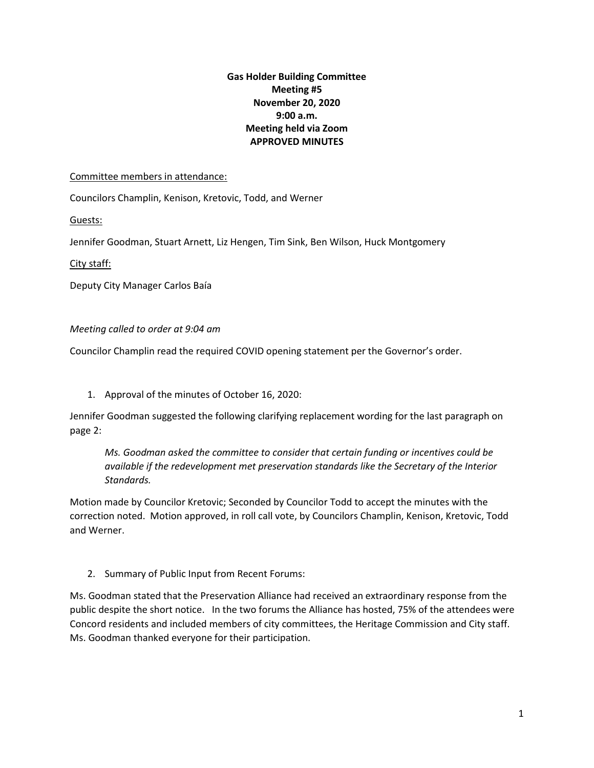## **Gas Holder Building Committee Meeting #5 November 20, 2020 9:00 a.m. Meeting held via Zoom APPROVED MINUTES**

## Committee members in attendance:

Councilors Champlin, Kenison, Kretovic, Todd, and Werner

Guests:

Jennifer Goodman, Stuart Arnett, Liz Hengen, Tim Sink, Ben Wilson, Huck Montgomery

City staff:

Deputy City Manager Carlos Baía

*Meeting called to order at 9:04 am*

Councilor Champlin read the required COVID opening statement per the Governor's order.

1. Approval of the minutes of October 16, 2020:

Jennifer Goodman suggested the following clarifying replacement wording for the last paragraph on page 2:

*Ms. Goodman asked the committee to consider that certain funding or incentives could be available if the redevelopment met preservation standards like the Secretary of the Interior Standards.* 

Motion made by Councilor Kretovic; Seconded by Councilor Todd to accept the minutes with the correction noted. Motion approved, in roll call vote, by Councilors Champlin, Kenison, Kretovic, Todd and Werner.

2. Summary of Public Input from Recent Forums:

Ms. Goodman stated that the Preservation Alliance had received an extraordinary response from the public despite the short notice. In the two forums the Alliance has hosted, 75% of the attendees were Concord residents and included members of city committees, the Heritage Commission and City staff. Ms. Goodman thanked everyone for their participation.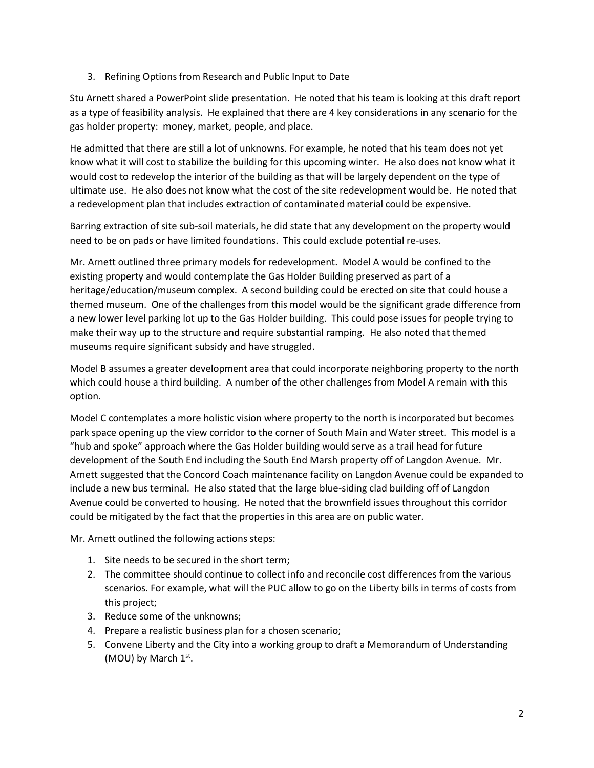3. Refining Options from Research and Public Input to Date

Stu Arnett shared a PowerPoint slide presentation. He noted that his team is looking at this draft report as a type of feasibility analysis. He explained that there are 4 key considerations in any scenario for the gas holder property: money, market, people, and place.

He admitted that there are still a lot of unknowns. For example, he noted that his team does not yet know what it will cost to stabilize the building for this upcoming winter. He also does not know what it would cost to redevelop the interior of the building as that will be largely dependent on the type of ultimate use. He also does not know what the cost of the site redevelopment would be. He noted that a redevelopment plan that includes extraction of contaminated material could be expensive.

Barring extraction of site sub-soil materials, he did state that any development on the property would need to be on pads or have limited foundations. This could exclude potential re-uses.

Mr. Arnett outlined three primary models for redevelopment. Model A would be confined to the existing property and would contemplate the Gas Holder Building preserved as part of a heritage/education/museum complex. A second building could be erected on site that could house a themed museum. One of the challenges from this model would be the significant grade difference from a new lower level parking lot up to the Gas Holder building. This could pose issues for people trying to make their way up to the structure and require substantial ramping. He also noted that themed museums require significant subsidy and have struggled.

Model B assumes a greater development area that could incorporate neighboring property to the north which could house a third building. A number of the other challenges from Model A remain with this option.

Model C contemplates a more holistic vision where property to the north is incorporated but becomes park space opening up the view corridor to the corner of South Main and Water street. This model is a "hub and spoke" approach where the Gas Holder building would serve as a trail head for future development of the South End including the South End Marsh property off of Langdon Avenue. Mr. Arnett suggested that the Concord Coach maintenance facility on Langdon Avenue could be expanded to include a new bus terminal. He also stated that the large blue-siding clad building off of Langdon Avenue could be converted to housing. He noted that the brownfield issues throughout this corridor could be mitigated by the fact that the properties in this area are on public water.

Mr. Arnett outlined the following actions steps:

- 1. Site needs to be secured in the short term;
- 2. The committee should continue to collect info and reconcile cost differences from the various scenarios. For example, what will the PUC allow to go on the Liberty bills in terms of costs from this project;
- 3. Reduce some of the unknowns;
- 4. Prepare a realistic business plan for a chosen scenario;
- 5. Convene Liberty and the City into a working group to draft a Memorandum of Understanding (MOU) by March 1st.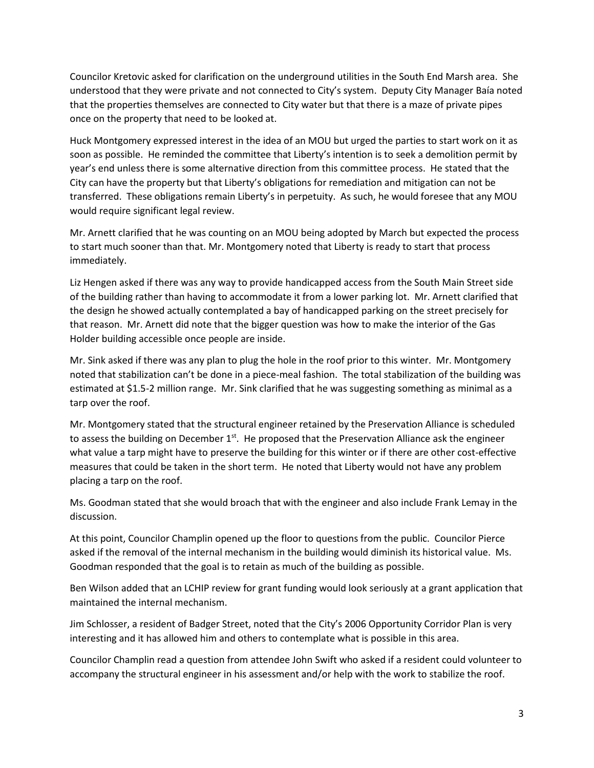Councilor Kretovic asked for clarification on the underground utilities in the South End Marsh area. She understood that they were private and not connected to City's system. Deputy City Manager Baía noted that the properties themselves are connected to City water but that there is a maze of private pipes once on the property that need to be looked at.

Huck Montgomery expressed interest in the idea of an MOU but urged the parties to start work on it as soon as possible. He reminded the committee that Liberty's intention is to seek a demolition permit by year's end unless there is some alternative direction from this committee process. He stated that the City can have the property but that Liberty's obligations for remediation and mitigation can not be transferred. These obligations remain Liberty's in perpetuity. As such, he would foresee that any MOU would require significant legal review.

Mr. Arnett clarified that he was counting on an MOU being adopted by March but expected the process to start much sooner than that. Mr. Montgomery noted that Liberty is ready to start that process immediately.

Liz Hengen asked if there was any way to provide handicapped access from the South Main Street side of the building rather than having to accommodate it from a lower parking lot. Mr. Arnett clarified that the design he showed actually contemplated a bay of handicapped parking on the street precisely for that reason. Mr. Arnett did note that the bigger question was how to make the interior of the Gas Holder building accessible once people are inside.

Mr. Sink asked if there was any plan to plug the hole in the roof prior to this winter. Mr. Montgomery noted that stabilization can't be done in a piece-meal fashion. The total stabilization of the building was estimated at \$1.5-2 million range. Mr. Sink clarified that he was suggesting something as minimal as a tarp over the roof.

Mr. Montgomery stated that the structural engineer retained by the Preservation Alliance is scheduled to assess the building on December  $1<sup>st</sup>$ . He proposed that the Preservation Alliance ask the engineer what value a tarp might have to preserve the building for this winter or if there are other cost-effective measures that could be taken in the short term. He noted that Liberty would not have any problem placing a tarp on the roof.

Ms. Goodman stated that she would broach that with the engineer and also include Frank Lemay in the discussion.

At this point, Councilor Champlin opened up the floor to questions from the public. Councilor Pierce asked if the removal of the internal mechanism in the building would diminish its historical value. Ms. Goodman responded that the goal is to retain as much of the building as possible.

Ben Wilson added that an LCHIP review for grant funding would look seriously at a grant application that maintained the internal mechanism.

Jim Schlosser, a resident of Badger Street, noted that the City's 2006 Opportunity Corridor Plan is very interesting and it has allowed him and others to contemplate what is possible in this area.

Councilor Champlin read a question from attendee John Swift who asked if a resident could volunteer to accompany the structural engineer in his assessment and/or help with the work to stabilize the roof.